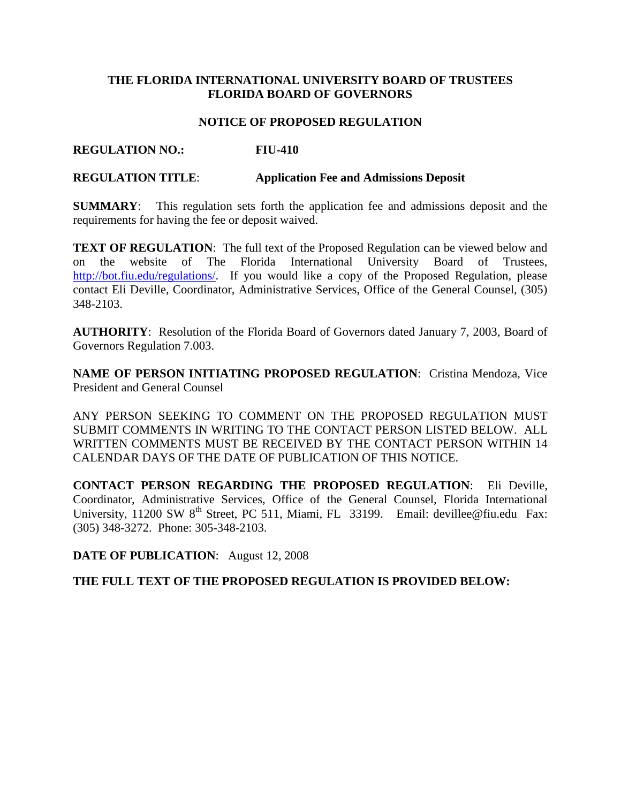# **THE FLORIDA INTERNATIONAL UNIVERSITY BOARD OF TRUSTEES FLORIDA BOARD OF GOVERNORS**

### **NOTICE OF PROPOSED REGULATION**

# **REGULATION NO.: FIU-410**

### **REGULATION TITLE**: **Application Fee and Admissions Deposit**

**SUMMARY**: This regulation sets forth the application fee and admissions deposit and the requirements for having the fee or deposit waived.

**TEXT OF REGULATION:** The full text of the Proposed Regulation can be viewed below and on the website of The Florida International University Board of Trustees, [http://bot.fiu.edu/regulations/.](http://bot.fiu.edu/regulations/) If you would like a copy of the Proposed Regulation, please contact Eli Deville, Coordinator, Administrative Services, Office of the General Counsel, (305) 348-2103.

**AUTHORITY**: Resolution of the Florida Board of Governors dated January 7, 2003, Board of Governors Regulation 7.003.

**NAME OF PERSON INITIATING PROPOSED REGULATION: Cristina Mendoza, Vice** President and General Counsel

ANY PERSON SEEKING TO COMMENT ON THE PROPOSED REGULATION MUST SUBMIT COMMENTS IN WRITING TO THE CONTACT PERSON LISTED BELOW. ALL WRITTEN COMMENTS MUST BE RECEIVED BY THE CONTACT PERSON WITHIN 14 CALENDAR DAYS OF THE DATE OF PUBLICATION OF THIS NOTICE.

**CONTACT PERSON REGARDING THE PROPOSED REGULATION**: Eli Deville, Coordinator, Administrative Services, Office of the General Counsel, Florida International University, 11200 SW 8<sup>th</sup> Street, PC 511, Miami, FL 33199. Email: devillee@fiu.edu Fax: (305) 348-3272. Phone: 305-348-2103.

**DATE OF PUBLICATION**: August 12, 2008

# **THE FULL TEXT OF THE PROPOSED REGULATION IS PROVIDED BELOW:**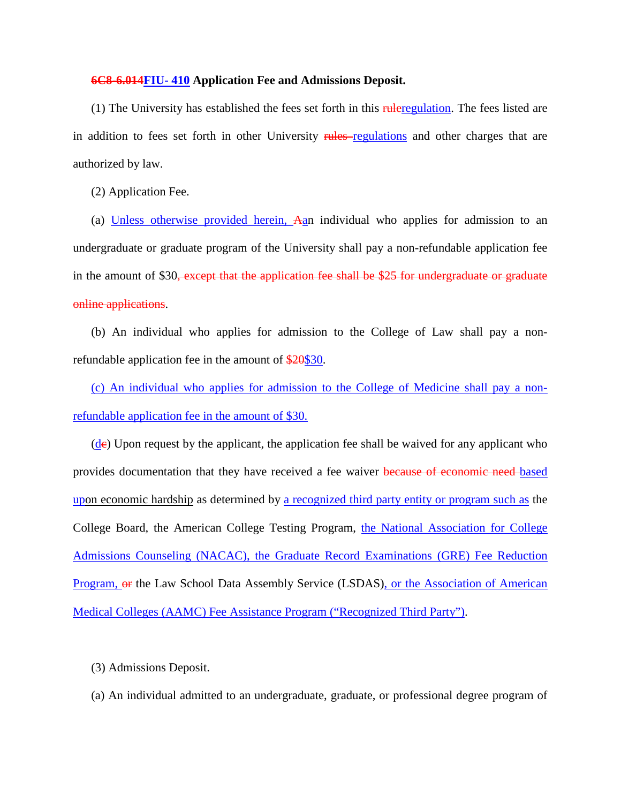#### **6C8-6.014FIU- 410 Application Fee and Admissions Deposit.**

(1) The University has established the fees set forth in this *ruleregulation*. The fees listed are in addition to fees set forth in other University rules regulations and other charges that are authorized by law.

(2) Application Fee.

(a) Unless otherwise provided herein, Aan individual who applies for admission to an undergraduate or graduate program of the University shall pay a non-refundable application fee in the amount of \$30, except that the application fee shall be \$25 for undergraduate or graduate online applications.

(b) An individual who applies for admission to the College of Law shall pay a nonrefundable application fee in the amount of \$20\$30.

(c) An individual who applies for admission to the College of Medicine shall pay a nonrefundable application fee in the amount of \$30.

 $(d$ e) Upon request by the applicant, the application fee shall be waived for any applicant who provides documentation that they have received a fee waiver because of economic need based upon economic hardship as determined by a recognized third party entity or program such as the College Board, the American College Testing Program, the National Association for College Admissions Counseling (NACAC), the Graduate Record Examinations (GRE) Fee Reduction Program, or the Law School Data Assembly Service (LSDAS), or the Association of American Medical Colleges (AAMC) Fee Assistance Program ("Recognized Third Party").

(3) Admissions Deposit.

(a) An individual admitted to an undergraduate, graduate, or professional degree program of